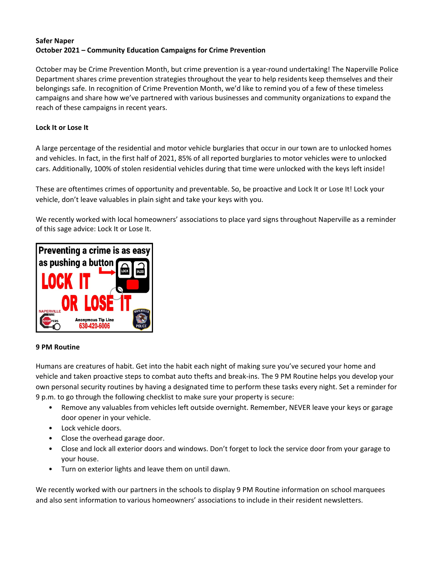## **Safer Naper October 2021 – Community Education Campaigns for Crime Prevention**

October may be Crime Prevention Month, but crime prevention is a year-round undertaking! The Naperville Police Department shares crime prevention strategies throughout the year to help residents keep themselves and their belongings safe. In recognition of Crime Prevention Month, we'd like to remind you of a few of these timeless campaigns and share how we've partnered with various businesses and community organizations to expand the reach of these campaigns in recent years.

# **Lock It or Lose It**

A large percentage of the residential and motor vehicle burglaries that occur in our town are to unlocked homes and vehicles. In fact, in the first half of 2021, 85% of all reported burglaries to motor vehicles were to unlocked cars. Additionally, 100% of stolen residential vehicles during that time were unlocked with the keys left inside!

These are oftentimes crimes of opportunity and preventable. So, be proactive and Lock It or Lose It! Lock your vehicle, don't leave valuables in plain sight and take your keys with you.

We recently worked with local homeowners' associations to place yard signs throughout Naperville as a reminder of this sage advice: Lock It or Lose It.



## **9 PM Routine**

Humans are creatures of habit. Get into the habit each night of making sure you've secured your home and vehicle and taken proactive steps to combat auto thefts and break‐ins. The 9 PM Routine helps you develop your own personal security routines by having a designated time to perform these tasks every night. Set a reminder for 9 p.m. to go through the following checklist to make sure your property is secure:

- Remove any valuables from vehicles left outside overnight. Remember, NEVER leave your keys or garage door opener in your vehicle.
- Lock vehicle doors.
- Close the overhead garage door.
- Close and lock all exterior doors and windows. Don't forget to lock the service door from your garage to your house.
- Turn on exterior lights and leave them on until dawn.

We recently worked with our partners in the schools to display 9 PM Routine information on school marquees and also sent information to various homeowners' associations to include in their resident newsletters.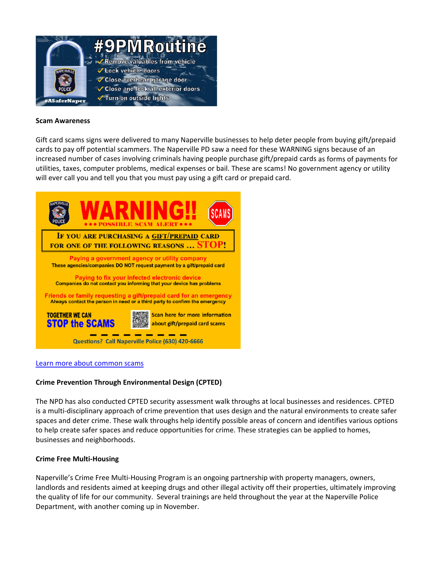

### **Scam Awareness**

Gift card scams signs were delivered to many Naperville businesses to help deter people from buying gift/prepaid cards to pay off potential scammers. The Naperville PD saw a need for these WARNING signs because of an increased number of cases involving criminals having people purchase gift/prepaid cards as forms of payments for utilities, taxes, computer problems, medical expenses or bail. These are scams! No government agency or utility will ever call you and tell you that you must pay using a gift card or prepaid card.



#### Learn more about common scams

### **Crime Prevention Through Environmental Design (CPTED)**

The NPD has also conducted CPTED security assessment walk throughs at local businesses and residences. CPTED is a multi-disciplinary approach of crime prevention that uses design and the natural environments to create safer spaces and deter crime. These walk throughs help identify possible areas of concern and identifies various options to help create safer spaces and reduce opportunities for crime. These strategies can be applied to homes, businesses and neighborhoods.

### **Crime Free Multi‐Housing**

Naperville's Crime Free Multi‐Housing Program is an ongoing partnership with property managers, owners, landlords and residents aimed at keeping drugs and other illegal activity off their properties, ultimately improving the quality of life for our community. Several trainings are held throughout the year at the Naperville Police Department, with another coming up in November.